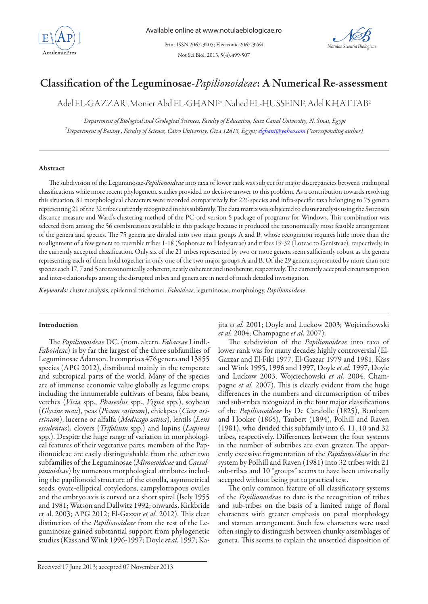

Not Sci Biol, 2013, 5(4):499-507 Print ISSN 2067-3205; Electronic 2067-3264



# Classification of the Leguminosae-*Papilionoideae*: A Numerical Re-assessment

Adel EL-GAZZAR1 ,Monier Abd EL-GHANI2 \*, Nahed EL-HUSSEINI2 , Adel KHATTAB2

1 *Department of Biological and Geological Sciences, Faculty of Education, Suez Canal University, N. Sinai, Egypt* 2 *Department of Botany , Faculty of Science, Cairo University, Giza 12613, Egypt; elghani@yahoo.com (\*corresponding author)*

## Abstract

The subdivision of the Leguminosae-*Papilionoideae* into taxa of lower rank was subject for major discrepancies between traditional classifications while more recent phylogenetic studies provided no decisive answer to this problem. As a contribution towards resolving this situation, 81 morphological characters were recorded comparatively for 226 species and infra-specific taxa belonging to 75 genera representing 21 of the 32 tribes currently recognized in this subfamily. The data matrix was subjected to cluster analysis using the Sørensen distance measure and Ward's clustering method of the PC-ord version-5 package of programs for Windows. This combination was selected from among the 56 combinations available in this package because it produced the taxonomically most feasible arrangement of the genera and species. The 75 genera are divided into two main groups A and B, whose recognition requires little more than the re-alignment of a few genera to resemble tribes 1-18 (Sophoreae to Hedysareae) and tribes 19-32 (Loteae to Genisteae), respectively, in the currently accepted classification. Only six of the 21 tribes represented by two or more genera seem sufficiently robust as the genera representing each of them hold together in only one of the two major groups A and B. Of the 29 genera represented by more than one species each 17, 7 and 5 are taxonomically coherent, nearly coherent and incoherent, respectively. The currently accepted circumscription and inter-relationships among the disrupted tribes and genera are in need of much detailed investigation.

*Keywords:* cluster analysis, epidermal trichomes, *Faboideae*, leguminosae, morphology, *Papilionoideae*

## Introduction

The *Papilionoideae* DC. (nom. altern. *Fabaceae* Lindl.- *Faboideae*) is by far the largest of the three subfamilies of Leguminosae Adanson. It comprises 476 genera and 13855 species (APG 2012), distributed mainly in the temperate and subtropical parts of the world. Many of the species are of immense economic value globally as legume crops, including the innumerable cultivars of beans, faba beans, vetches (*Vicia* spp., *Phaseolus* spp., *Vigna* spp.), soybean (*Glycine max*), peas (*Pisum sativum*), chickpea (*Cicer arietinum*), lucerne or alfalfa (*Medicago sativa*), lentils (*Lens esculentus*), clovers (*Trifolium* spp.) and lupins (*Lupinus*  spp.). Despite the huge range of variation in morphological features of their vegetative parts, members of the Papilionoideae are easily distinguishable from the other two subfamilies of the Leguminosae (*Mimosoideae* and *Caesalpinioideae*) by numerous morphological attributes including the papilionoid structure of the corolla, asymmetrical seeds, ovate-elliptical cotyledons, campylotropous ovules and the embryo axis is curved or a short spiral (Isely 1955 and 1981; Watson and Dallwitz 1992; onwards, Kirkbride et al. 2003; APG 2012; El-Gazzar *et al.* 2012). This clear distinction of the *Papilionoideae* from the rest of the Leguminosae gained substantial support from phylogenetic studies (Käss and Wink 1996-1997; Doyle *et al.* 1997; Kajita *et al.* 2001; Doyle and Luckow 2003; Wojciechowski *et al.* 2004; Champagne *et al.* 2007).

The subdivision of the *Papilionoideae* into taxa of lower rank was for many decades highly controversial (El-Gazzar and El-Fiki 1977, El-Gazzar 1979 and 1981, Käss and Wink 1995, 1996 and 1997, Doyle *et al.* 1997, Doyle and Luckow 2003, Wojciechowski *et al.* 2004, Champagne *et al.* 2007). This is clearly evident from the huge differences in the numbers and circumscription of tribes and sub-tribes recognized in the four major classifications of the *Papilionoideae* by De Candolle (1825), Bentham and Hooker (1865), Taubert (1894), Polhill and Raven (1981), who divided this subfamily into 6, 11, 10 and 32 tribes, respectively. Differences between the four systems in the number of subtribes are even greater. The apparently excessive fragmentation of the *Papilionoideae* in the system by Polhill and Raven (1981) into 32 tribes with 21 sub-tribes and 10 "groups" seems to have been universally accepted without being put to practical test.

The only common feature of all classificatory systems of the *Papilionoideae* to date is the recognition of tribes and sub-tribes on the basis of a limited range of floral characters with greater emphasis on petal morphology and stamen arrangement. Such few characters were used often singly to distinguish between chunky assemblages of genera. This seems to explain the unsettled disposition of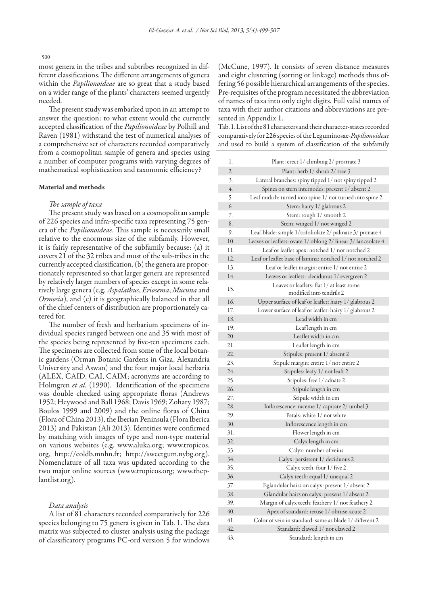#### 500

most genera in the tribes and subtribes recognized in different classifications. The different arrangements of genera within the *Papilionoideae* are so great that a study based on a wider range of the plants' characters seemed urgently needed.

The present study was embarked upon in an attempt to answer the question: to what extent would the currently accepted classification of the *Papilionoideae* by Polhill and Raven (1981) withstand the test of numerical analyses of a comprehensive set of characters recorded comparatively from a cosmopolitan sample of genera and species using a number of computer programs with varying degrees of mathematical sophistication and taxonomic efficiency?

## Material and methods

#### *The sample of taxa*

The present study was based on a cosmopolitan sample of 226 species and infra-specific taxa representing 75 genera of the *Papilionoideae*. This sample is necessarily small relative to the enormous size of the subfamily. However, it is fairly representative of the subfamily because: (a) it covers 21 of the 32 tribes and most of the sub-tribes in the currently accepted classification, (b) the genera are proportionately represented so that larger genera are represented by relatively larger numbers of species except in some relatively large genera (e.g. *Aspalathus*, *Eriosema*, *Mucuna* and *Ormosia*), and (c) it is geographically balanced in that all of the chief centers of distribution are proportionately catered for.

The number of fresh and herbarium specimens of individual species ranged between one and 35 with most of the species being represented by five-ten specimens each. The specimens are collected from some of the local botanic gardens (Orman Botanic Gardens in Giza, Alexandria University and Aswan) and the four major local herbaria (ALEX, CAID, CAI, CAIM; acronyms are according to Holmgren *et al.* (1990). Identification of the specimens was double checked using appropriate floras (Andrews 1952; Heywood and Ball 1968; Davis 1969; Zohary 1987; Boulos 1999 and 2009) and the online floras of China (Flora of China 2013), the Iberian Peninsula (Flora Iberica 2013) and Pakistan (Ali 2013). Identities were confirmed by matching with images of type and non-type material on various websites (e.g. www.aluka.org; www.tropicos. org, http://coldb.mnhn.fr; http://sweetgum.nybg.org). Nomenclature of all taxa was updated according to the two major online sources (www.tropicos.org; www.theplantlist.org).

## *Data analysis*

A list of 81 characters recorded comparatively for 226 species belonging to 75 genera is given in Tab. 1. The data matrix was subjected to cluster analysis using the package of classificatory programs PC-ord version 5 for windows

(McCune, 1997). It consists of seven distance measures and eight clustering (sorting or linkage) methods thus offering 56 possible hierarchical arrangements of the species. Pre-requisites of the program necessitated the abbreviation of names of taxa into only eight digits. Full valid names of taxa with their author citations and abbreviations are presented in Appendix 1.

Tab. 1. List of the 81 characters and their character-states recorded comparatively for 226 species of the Leguminosae-*Papilionoideae*  and used to build a system of classification of the subfamily

| 1.               | Plant: erect 1/ climbing 2/ prostrate 3                       |
|------------------|---------------------------------------------------------------|
| $\overline{2}$ . | Plant: herb $1/$ shrub $2/$ tree 3                            |
| 3.               | Lateral branches: spiny tipped 1/not spiny tipped 2           |
| 4.               | Spines on stem internodes: present 1/absent 2                 |
| 5.               | Leaf midrib: turned into spine 1/ not turned into spine 2     |
| 6.               | Stem: hairy 1/ glabrous 2                                     |
| 7.               | Stem: rough 1/smooth 2                                        |
| 8.               | Stem: winged 1/ not winged 2                                  |
| 9.               | Leaf-blade: simple 1/trifoliolate 2/ palmate 3/ pinnate 4     |
| 10.              | Leaves or leaflets: ovate 1/ oblong 2/ linear 3/ lanceolate 4 |
| 11.              | Leaf or leaflet apex: notched 1/ not notched 2                |
| 12.              | Leaf or leaflet base of lamina: notched 1/not notched 2       |
| 13.              | Leaf or leaflet margin: entire 1/ not entire 2                |
| 14.              | Leaves or leaflets: deciduous 1/ evergreen 2                  |
| 15.              | Leaves or leaflets: flat 1/at least some                      |
|                  | modified into tendrils 2                                      |
| 16.              | Upper surface of leaf or leaflet: hairy 1/ glabrous 2         |
| 17.              | Lower surface of leaf or leaflet: hairy 1/ glabrous 2         |
| 18.              | Lead width in cm                                              |
| 19.              | Leaf length in cm                                             |
| 20.              | Leaflet width in cm                                           |
| 21.              | Leaflet length in cm                                          |
| 22.              | Stipules: present 1/absent 2                                  |
| 23.              | Stipule margin: entire 1/ not entire 2                        |
| 24.              | Stipules: leafy 1/ not leaft 2                                |
| 25.              | Stipules: free 1/adnate 2                                     |
| 26.              | Stipule length in cm                                          |
| 27.              | Stipule width in cm                                           |
| 28.              | Inflorescence: raceme 1/ capitate 2/ umbel 3                  |
| 29.              | Petals: white 1/ not white                                    |
| 30.              | Inflorescence length in cm                                    |
| 31.              | Flower length in cm                                           |
| 32.              | Calyx length in cm                                            |
| 33.              | Calyx: number of veins                                        |
| 34.              | Calyx: persistent 1/ deciduous 2                              |
| 35.              | Calyx teeth: four 1/ five 2                                   |
| 36.              | Calyx teeth: equal 1/ unequal 2                               |
| 37.              | Eglandular hairs on calyx: present 1/ absent 2                |
| 38.              | Glandular hairs on calyx: present 1/ absent 2                 |
| 39.              | Margin of calyx teeth: feathery 1/ not feathery 2             |
| 40.              | Apex of standard: retuse 1/ obtuse-acute 2                    |
| 41.              | Color of vein in standard: same as blade 1/ different 2       |
| 42.              | Standard: clawed 1/ not clawed 2                              |
| 43.              | Standard: length in cm                                        |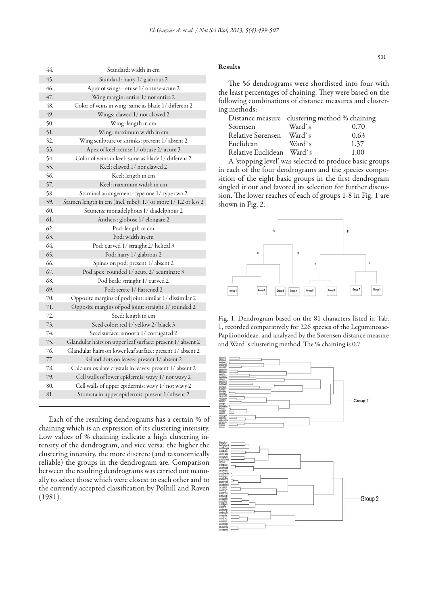| 44. | Standard: width in cm                                         |
|-----|---------------------------------------------------------------|
| 45. | Standard: hairy 1/ glabrous 2                                 |
| 46. | Apex of wings: retuse 1/ obtuse-acute 2                       |
| 47. | Wing margin: entire 1/ not entire 2                           |
| 48. | Color of veins in wing: same as blade 1/ different 2          |
| 49. | Wings: clawed 1/ not clawed 2                                 |
| 50. | Wing: length in cm                                            |
| 51. | Wing: maximum width in cm                                     |
| 52. | Wing sculpture or shrinks: present 1/ absent 2                |
| 53. | Apex of keel: retuse 1/ obtuse 2/ acute 3                     |
| 54. | Color of veins in keel: same as blade 1/ different 2          |
| 55. | Keel: clawed 1/ not clawed 2                                  |
| 56. | Keel: length in cm                                            |
| 57. | Keel: maximum width in cm                                     |
| 58. | Staminal arrangement: type one 1/type two 2                   |
| 59. | Stamen length in cm (incl. tube): 1.7 or more 1/1.2 or less 2 |
| 60. | Stamens: monadelphous 1/diadelphous 2                         |
| 61. | Anthers: globose 1/ elongate 2                                |
| 62. | Pod: length in cm                                             |
| 63. | Pod: width in cm                                              |
| 64. | Pod: curved 1/ straight 2/ helical 3                          |
| 65. | Pod: hairy 1/ glabrous 2                                      |
| 66. | Spines on pod: present 1/absent 2                             |
| 67. | Pod apex: rounded 1/ acute 2/ acuminate 3                     |
| 68. | Pod beak: straight 1/ curved 2                                |
| 69. | Pod: terete 1/ flattened 2                                    |
| 70. | Opposite margins of pod joint: similar 1/ dissimilar 2        |
| 71. | Opposite margins of pod joint: straight 1/ rounded 2          |
| 72. | Seed: length in cm                                            |
| 73. | Seed color: red 1/yellow 2/black 3                            |
| 74. | Seed surface: smooth 1/ corrugated 2                          |
| 75. | Glandular hairs on upper leaf surface: present 1/ absent 2    |
| 76. | Glandular hairs on lower leaf surface: present 1/absent 2     |
| 77. | Gland dots on leaves: present 1/ absent 2                     |
| 78. | Calcium oxalate crystals in leaves: present 1/ absent 2       |
| 79. | Cell walls of lower epidermis: wavy 1/ not wavy 2             |
| 80. | Cell walls of upper epidermis: wavy 1/ not wavy 2             |
| 81. | Stomata in upper epidermis: present 1/absent 2                |

Each of the resulting dendrograms has a certain % of chaining which is an expression of its clustering intensity. Low values of % chaining indicate a high clustering intensity of the dendrogram, and vice versa: the higher the clustering intensity, the more discrete (and taxonomically reliable) the groups in the dendrogram are. Comparison between the resulting dendrograms was carried out manually to select those which were closest to each other and to the currently accepted classification by Polhill and Raven (1981).

# Results

The 56 dendrograms were shortlisted into four with the least percentages of chaining. They were based on the following combinations of distance measures and clustering methods:

| Distance measure clustering method % chaining |        |      |
|-----------------------------------------------|--------|------|
| Sørensen                                      | Ward`s | 0.70 |
| <b>Relative Sørensen</b>                      | Ward's | 0.63 |
| Euclidean                                     | Ward's | 1.37 |
| Relative Euclidean Ward's                     |        | 1.00 |

A 'stopping level' was selected to produce basic groups in each of the four dendrograms and the species composition of the eight basic groups in the first dendrogram singled it out and favored its selection for further discussion. The lower reaches of each of groups 1-8 in Fig. 1 are shown in Fig. 2.



Fig. 1. Dendrogram based on the 81 characters listed in Tab. 1, recorded comparatively for 226 species of the Leguminosae-Papilionoideae, and analyzed by the Sørensen distance measure and Ward`s clustering method. The % chaining is 0.7

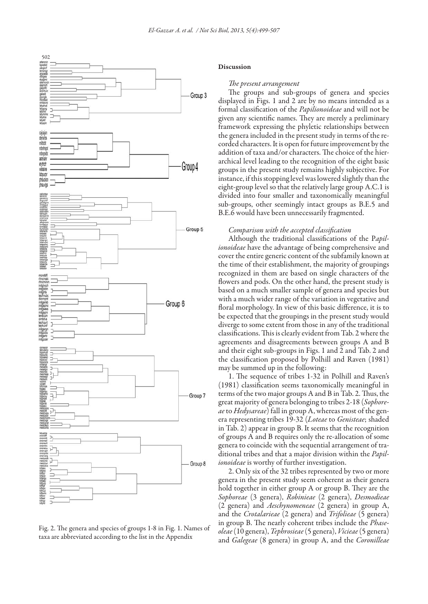

Fig. 2. The genera and species of groups 1-8 in Fig. 1. Names of taxa are abbreviated according to the list in the Appendix

# Discussion

#### *The present arrangement*

The groups and sub-groups of genera and species displayed in Figs. 1 and 2 are by no means intended as a formal classification of the *Papilionoideae* and will not be given any scientific names. They are merely a preliminary framework expressing the phyletic relationships between the genera included in the present study in terms of the recorded characters. It is open for future improvement by the addition of taxa and/or characters. The choice of the hierarchical level leading to the recognition of the eight basic groups in the present study remains highly subjective. For instance, if this stopping level was lowered slightly than the eight-group level so that the relatively large group A.C.1 is divided into four smaller and taxonomically meaningful sub-groups, other seemingly intact groups as B.E.5 and B.E.6 would have been unnecessarily fragmented.

## *Comparison with the accepted classification*

Although the traditional classifications of the P*apilionoideae* have the advantage of being comprehensive and cover the entire generic content of the subfamily known at the time of their establishment, the majority of groupings recognized in them are based on single characters of the flowers and pods. On the other hand, the present study is based on a much smaller sample of genera and species but with a much wider range of the variation in vegetative and floral morphology. In view of this basic difference, it is to be expected that the groupings in the present study would diverge to some extent from those in any of the traditional classifications. This is clearly evident from Tab. 2 where the agreements and disagreements between groups A and B and their eight sub-groups in Figs. 1 and 2 and Tab. 2 and the classification proposed by Polhill and Raven (1981) may be summed up in the following:

1. The sequence of tribes 1-32 in Polhill and Raven's (1981) classification seems taxonomically meaningful in terms of the two major groups A and B in Tab. 2. Thus, the great majority of genera belonging to tribes 2-18 (*Sophoreae* to *Hedysareae*) fall in group A, whereas most of the genera representing tribes 19-32 (*Loteae* to *Genisteae*; shaded in Tab. 2) appear in group B. It seems that the recognition of groups A and B requires only the re-allocation of some genera to coincide with the sequential arrangement of traditional tribes and that a major division within the *Papilionoideae* is worthy of further investigation.

2. Only six of the 32 tribes represented by two or more genera in the present study seem coherent as their genera hold together in either group A or group B. They are the *Sophoreae* (3 genera), *Robinieae* (2 genera), *Desmodieae* (2 genera) and *Aeschynomeneae* (2 genera) in group A, and the *Crotalarieae* (2 genera) and *Trifolieae* (5 genera) in group B. The nearly coherent tribes include the *Phaseoleae* (10 genera), *Tephrosieae* (5 genera), *Vicieae* (5 genera) and *Galegeae* (8 genera) in group A, and the *Coronilleae*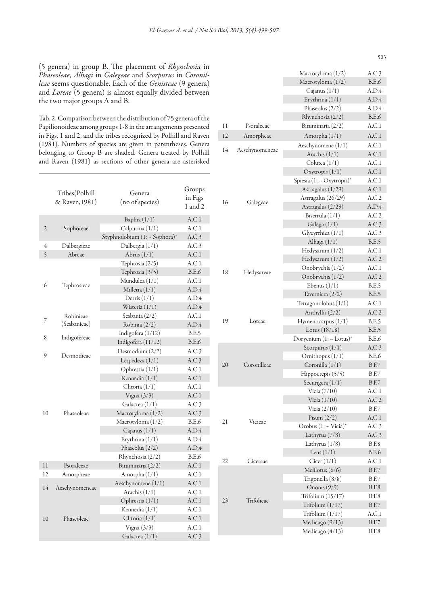(5 genera) in group B. The placement of *Rhynchosia* in *Phaseoleae*, *Alhagi* in *Galegeae* and *Scorpurus* in *Coronilleae* seems questionable. Each of the *Genisteae* (9 genera) and *Loteae* (5 genera) is almost equally divided between the two major groups A and B.

Tab. 2. Comparison between the distribution of 75 genera of the Papilionoideae among groups 1-8 in the arrangements presented in Figs. 1 and 2, and the tribes recognized by Polhill and Raven (1981). Numbers of species are given in parentheses. Genera belonging to Group B are shaded. Genera treated by Polhill and Raven (1981) as sections of other genera are asterisked

|    | Tribes(Polhill<br>& Raven, 1981) | Genera<br>(no of species)     | Groups<br>in Figs<br>1 and 2 |
|----|----------------------------------|-------------------------------|------------------------------|
|    |                                  | Baphia $(1/1)$                | A.C.1                        |
| 2  | Sophoreae                        | Calpurnia (1/1)               | A.C.1                        |
|    |                                  | Styphnolobium (1; ~ Sophora)* | A.C.3                        |
| 4  | Dalbergieae                      | Dalbergia (1/1)               | A.C.3                        |
| 5  | Abreae                           | Abrus $(1/1)$                 | A.C.1                        |
|    |                                  | Tephrosia (2/5)               | A.C.1                        |
|    |                                  | Tephrosia (3/5)               | <b>B.E.6</b>                 |
| 6  |                                  | Mundulea (1/1)                | A.C.1                        |
|    | Tephrosieae                      | Milletia $(1/1)$              | A.D.4                        |
|    |                                  | Derris(1/1)                   | A.D.4                        |
|    |                                  | Wisteria $(1/1)$              | A.D.4                        |
| 7  | Robinieae                        | Sesbania (2/2)                | A.C.1                        |
|    | (Sesbanieae)                     | Robinia (2/2)                 | A.D.4                        |
| 8  | Indigofereae                     | Indigofera (1/12)             | B.E.5                        |
|    |                                  | Indigofera (11/12)            | <b>B.E.6</b>                 |
|    |                                  | Desmodium (2/2)               | A.C.3                        |
| 9  | Desmodieae                       | Lespedeza (1/1)               | A.C.3                        |
|    |                                  | Ophrestia (1/1)               | A.C.1                        |
|    |                                  | Kennedia (1/1)                | A.C.1                        |
|    |                                  | Clitoria $(1/1)$              | A.C.1                        |
|    |                                  | Vigna $(3/3)$                 | A.C.1                        |
|    |                                  | Galactea (1/1)                | A.C.3                        |
| 10 | Phaseoleae                       | Macrotyloma (1/2)             | A.C.3                        |
|    |                                  | Macrotyloma (1/2)             | <b>B.E.6</b>                 |
|    |                                  | Cajanus $(1/1)$               | A.D.4                        |
|    |                                  | Erythrina $(1/1)$             | A.D.4                        |
|    |                                  | Phaseolus $(2/2)$             | A.D.4                        |
|    |                                  | Rhynchosia (2/2)              | <b>B.E.6</b>                 |
| 11 | Psoraleeae                       | Bituminaria (2/2)             | A.C.1                        |
| 12 | Amorpheae                        | Amorpha (1/1)                 | A.C.1                        |
| 14 | Aeschynomeneae<br>Phaseoleae     | Aeschynomene (1/1)            | A.C.1                        |
|    |                                  | Arachis $(1/1)$               | A.C.1                        |
|    |                                  | Ophrestia (1/1)               | A.C.1                        |
|    |                                  | Kennedia (1/1)                | A.C.1                        |
| 10 |                                  | Clitoria $(1/1)$              | A.C.1                        |
|    |                                  | Vigna $(3/3)$                 | A.C.1                        |
|    |                                  | Galactea (1/1)                | A.C.3                        |

|    |                | Macrotyloma (1/2)                 | A.C.3        |
|----|----------------|-----------------------------------|--------------|
|    |                | Macrotyloma (1/2)                 | <b>B.E.6</b> |
|    |                | Cajanus $(1/1)$                   | A.D.4        |
|    |                | Erythrina $(1/1)$                 | A.D.4        |
|    |                | Phaseolus $(2/2)$                 | A.D.4        |
|    |                | Rhynchosia (2/2)                  | <b>B.E.6</b> |
| 11 | Psoraleeae     | Bituminaria $(2/2)$               | A.C.1        |
| 12 | Amorpheae      | Amorpha (1/1)                     | A.C.1        |
|    |                | Aeschynomene $(1/1)$              | A.C.1        |
| 14 | Aeschynomeneae | Arachis (1/1)                     | A.C.1        |
|    |                | Colutea $(1/1)$                   | A.C.1        |
|    |                | Oxytropis $(1/1)$                 | A.C.1        |
|    |                | Spiesia $(1, \sim$ Oxytropis)*    | A.C.1        |
|    |                | Astragalus (1/29)                 | A.C.1        |
|    |                | Astragalus (26/29)                | A.C.2        |
| 16 | Galegeae       | Astragalus (2/29)                 | A.D.4        |
|    |                | Biserrula $(1/1)$                 | A.C.2        |
|    |                | Galega $(1/1)$                    | A.C.3        |
|    |                | Glycyrrhiza (1/1)                 | A.C.3        |
|    |                | Alhagi $(1/1)$                    | <b>B.E.5</b> |
|    |                | Hedysarum $(1/2)$                 | A.C.1        |
|    |                | Hedysarum $(1/2)$                 | A.C.2        |
|    |                | Onobrychis (1/2)                  | A.C.1        |
| 18 | Hedysareae     | Onobrychis (1/2)                  | A.C.2        |
|    |                | Ebenus $(1/1)$                    | <b>B.E.5</b> |
|    |                | Taverniera (2/2)                  | B.E.5        |
|    |                | Tetragonolobus $(1/1)$            | A.C.1        |
|    |                | Anthyllis (2/2)                   | A.C.2        |
| 19 | Loteae         | Hymenocarpus $(1/1)$              | <b>B.E.5</b> |
|    |                | Lotus (18/18)                     | B.E.5        |
|    |                | Dorycnium $(1; \sim$ Lotus)*      | <b>B.E.6</b> |
|    |                | Scorpurus $(1/1)$                 | A.C.3        |
|    |                | Ornithopus (1/1)                  | <b>B.E.6</b> |
| 20 | Coronilleae    | Coronilla (1/1)                   | <b>B.F.7</b> |
|    |                | Hippocrepis (5/5)                 | <b>B.F.7</b> |
|    |                | Securigera (1/1)                  | <b>B.F.7</b> |
|    |                | Vicia $(7/10)$                    | A.C.I        |
|    |                | Vicia $(1/10)$                    | A.C.2        |
|    | Vicieae        | Vicia $(2/10)$                    | <b>B.F.7</b> |
| 21 |                | Pisum $(2/2)$                     | A.C.1        |
|    |                | Orobus $(1; \sim \text{Vicia})^*$ | A.C.3        |
|    |                | Lathyrus (7/8)                    | A.C.3        |
|    |                | Lathyrus $(1/8)$                  | <b>B.F.8</b> |
|    |                | Lens $(1/1)$                      | B.E.6        |
| 22 | Cicereae       | Cicer(1/1)                        | A.C.1        |
|    | Trifolieae     | Melilotus $(6/6)$                 | B.F.7        |
|    |                | Trigonella (8/8)                  | <b>B.F.7</b> |
|    |                | Ononis (9/9)                      | <b>B.F.8</b> |
| 23 |                | Trifolium $(15/17)$               | <b>B.F.8</b> |
|    |                | Trifolium $(1/17)$                | <b>B.F.7</b> |
|    |                | Trifolium $(1/17)$                | A.C.1        |
|    |                | Medicago (9/13)                   | <b>B.F.7</b> |
|    |                | Medicago (4/13)                   | <b>B.F.8</b> |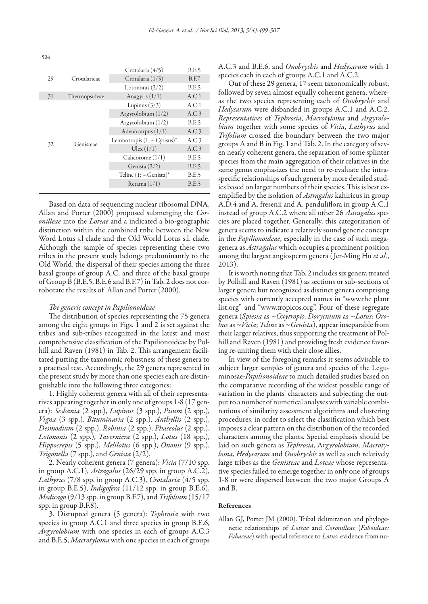|    |               | Crotalaria (4/5)                         | B.E.5        |
|----|---------------|------------------------------------------|--------------|
| 29 | Crotalarieae  | Crotalaria (1/5)                         | <b>B.F.7</b> |
|    |               | Lotononis $(2/2)$                        | <b>B.E.5</b> |
| 31 | Thermopsideae | Anagyris $(1/1)$                         | A.C.1        |
| 32 | Genisteae     | Lupinus $(3/3)$                          | A.C.1        |
|    |               | Argyrolobium $(1/2)$                     | A.C.3        |
|    |               | Argyrolobium $(1/2)$                     | B.E.5        |
|    |               | Adenocarpus $(1/1)$                      | A.C.3        |
|    |               | Lembotropis $(1, \sim \text{Cytisus})^*$ | A.C.3        |
|    |               | Ulex(1/1)                                | A.C.3        |
|    |               | Calicotome $(1/1)$                       | B.E.5        |
|    |               | Genista $(2/2)$                          | B.E.5        |
|    |               | Teline $(1, \sim \text{Genista})^*$      | <b>B.E.5</b> |
|    |               | Retama $(1/1)$                           | B.E.5        |
|    |               |                                          |              |

Based on data of sequencing nuclear ribosomal DNA, Allan and Porter (2000) proposed submerging the *Coronilleae* into the *Loteae* and a indicated a bio-geographic distinction within the combined tribe between the New Word Lotus s.l clade and the Old World Lotus s.l. clade. Although the sample of species representing these two tribes in the present study belongs predominantly to the Old World, the dispersal of their species among the three basal groups of group A.C. and three of the basal groups of Group B (B.E.5, B.E.6 and B.F.7) in Tab. 2 does not corroborate the results of Allan and Porter (2000).

## *The generic concept in Papilionoideae*

The distribution of species representing the 75 genera among the eight groups in Figs. 1 and 2 is set against the tribes and sub-tribes recognized in the latest and most comprehensive classification of the Papilionoideae by Polhill and Raven (1981) in Tab. 2. This arrangement facilitated putting the taxonomic robustness of these genera to a practical test. Accordingly, the 29 genera represented in the present study by more than one species each are distinguishable into the following three categories:

1. Highly coherent genera with all of their representatives appearing together in only one of groups 1-8 (17 genera): *Sesbania* (2 spp.), *Lupinus* (3 spp.), *Pisum* (2 spp.), *Vigna* (3 spp.), *Bituminaria* (2 spp.), *Anthyllis* (2 spp.), *Desmodium* (2 spp.), *Robinia* (2 spp.), *Phaseolus* (2 spp.), *Lotononis* (2 spp.), *Taverniera* (2 spp.), *Lotus* (18 spp.), *Hippocrepis* (5 spp.), *Melilotus* (6 spp.), *Ononis* (9 spp.), *Trigonella* (7 spp.), and *Genista* (2/2).

2. Nearly coherent genera (7 genera): *Vicia* (7/10 spp. in group A.C.1), *Astragalus* (26/29 spp. in group A.C.2), *Lathyrus* (7/8 spp. in group A.C.3), *Crotalaria* (4/5 spp. in group B.E.5), *Indigofera* (11/12 spp. in group B.E.6), *Medicago* (9/13 spp. in group B.F.7), and *Trifolium* (15/17 spp. in group B.F.8).

3. Disrupted genera (5 genera): *Tephrosia* with two species in group A.C.1 and three species in group B.E.6, *Argyrolobium* with one species in each of groups A.C.3 and B.E.5, *Macrotyloma* with one species in each of groups

A.C.3 and B.E.6, and *Onobrychis* and *Hedysarum* with 1 species each in each of groups A.C.1 and A.C.2.

Out of these 29 genera, 17 seem taxonomically robust, followed by seven almost equally coherent genera, whereas the two species representing each of *Onobrychis* and *Hedysarum* were disbanded in groups A.C.1 and A.C.2. *Representatives* of *Tephrosia*, *Macrotyloma* and *Argyrolobium* together with some species of *Vicia*, *Lathyrus* and *Trifolium* crossed the boundary between the two major groups A and B in Fig. 1 and Tab. 2. In the category of seven nearly coherent genera, the separation of some splinter species from the main aggregation of their relatives in the same genus emphasizes the need to re-evaluate the intraspecific relationships of such genera by more detailed studies based on larger numbers of their species. This is best exemplified by the isolation of *Astragalus* kahiricus in group A.D.4 and A. fresenii and A. penduliflora in group A.C.1 instead of group A.C.2 where all other 26 *Astragalus* species are placed together. Generally, this categorization of genera seems to indicate a relatively sound generic concept in the *Papilionoideae*, especially in the case of such megagenera as *Astragalus* which occupies a prominent position among the largest angiosperm genera ( Jer-Ming Hu *et al.*, 2013).

It is worth noting that Tab. 2 includes six genera treated by Polhill and Raven (1981) as sections or sub-sections of larger genera but recognized as distinct genera comprising species with currently accepted names in "www.the plant list.org" and "www.tropicos.org". Four of these segregate genera (*Spiesia* as ~*Oxytropis*; *Dorycnium* as ~*Lotus*; *Orobus* as ~*Vicia*; *Teline* as ~*Genista*), appear inseparable from their larger relatives, thus supporting the treatment of Polhill and Raven (1981) and providing fresh evidence favoring re-uniting them with their close allies.

In view of the foregoing remarks it seems advisable to subject larger samples of genera and species of the Leguminosae-*Papilionoideae* to much detailed studies based on the comparative recording of the widest possible range of variation in the plants' characters and subjecting the output to a number of numerical analyses with variable combinations of similarity assessment algorithms and clustering procedures, in order to select the classification which best imposes a clear pattern on the distribution of the recorded characters among the plants. Special emphasis should be laid on such genera as *Tephrosia*, A*rgyrolobium, Macrotyloma*, *Hedysarum* and *Onobrychis* as well as such relatively large tribes as the *Genisteae* and *Loteae* whose representative species failed to emerge together in only one of groups 1-8 or were dispersed between the two major Groups A and B.

## References

Allan GJ, Porter JM (2000). Tribal delimitation and phylogenetic relationships of *Loteae* and *Coronilleae* (*Faboideae: Fabaceae*) with special reference to *Lotus*: evidence from nu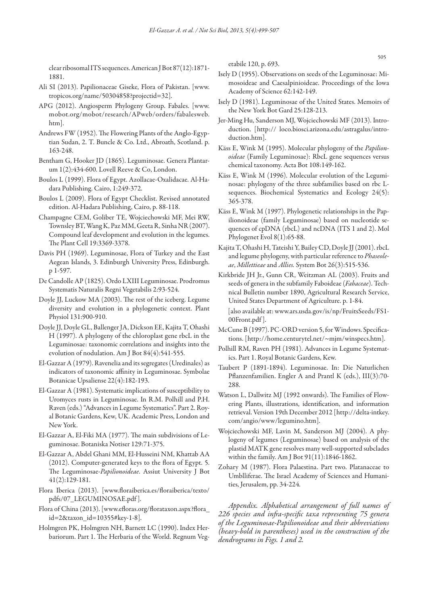clear ribosomal ITS sequences. American J Bot 87(12):1871- 1881.

- Ali SI (2013). Papilionaceae Giseke, Flora of Pakistan. [www. tropicos.org/name/50304858?projectid=32].
- APG (2012). Angiosperm Phylogeny Group. Fabales. [www. mobot.org/mobot/research/APweb/orders/fabalesweb. htm].
- Andrews FW (1952). The Flowering Plants of the Anglo-Egyptian Sudan, 2. T. Buncle & Co. Ltd., Abroath, Scotland. p. 163-248.
- Bentham G, Hooker JD (1865). Leguminosae. Genera Plantarum 1(2):434-600. Lovell Reeve & Co, London.
- Boulos L (1999). Flora of Egypt. Azollacae-Oxalidacae. Al-Hadara Publishing. Cairo, 1:249-372.
- Boulos L (2009). Flora of Egypt Checklist. Revised annotated edition. Al-Hadara Publishing, Cairo, p. 88-118.
- Champagne CEM, Goliber TE, Wojciechowski MF, Mei RW, Townsley BT, Wang K, Paz MM, Geeta R, Sinha NR (2007). Compound leaf development and evolution in the legumes. The Plant Cell 19:3369-3378.
- Davis PH (1969). Leguminosae, Flora of Turkey and the East Aegean Islands, 3. Edinburgh University Press, Edinburgh. p 1-597.
- De Candolle AP (1825). Ordo LXIII Leguminosae. Prodromus Systematis Naturalis Regni Vegetabilis 2:93-524.
- Doyle JJ, Luckow MA (2003). The rest of the iceberg. Legume diversity and evolution in a phylogenetic context. Plant Physiol 131:900-910.
- Doyle JJ, Doyle GL, Ballenger JA, Dickson EE, Kajita T, Ohashi H (1997). A phylogeny of the chloroplast gene rbcL in the Leguminosae: taxonomic correlations and insights into the evolution of nodulation. Am J Bot 84(4):541-555.
- El-Gazzar A (1979). Ravenelia and its segregates (Uredinales) as indicators of taxonomic affinity in Leguminosae. Symbolae Botanicae Upsaliense 22(4):182-193.
- El-Gazzar A (1981). Systematic implications of susceptibility to Uromyces rusts in Leguminosae. In R.M. Polhill and P.H. Raven (eds.) "Advances in Legume Systematics". Part 2. Royal Botanic Gardens, Kew, UK. Academic Press, London and New York.
- El-Gazzar A, El-Fiki MA (1977). The main subdivisions of Leguminosae. Botaniska Notiser 129:71-375.
- El-Gazzar A, Abdel Ghani MM, El-Husseini NM, Khattab AA (2012). Computer-generated keys to the flora of Egypt. 5. The Leguminosae-*Papilionoideae*. Assiut University J Bot 41(2):129-181.
- Flora Iberica (2013). [www.floraiberica.es/floraiberica/texto/ pdfs/07\_LEGUMINOSAE.pdf ].
- Flora of China (2013). [www.efloras.org/florataxon.aspx?flora\_ id=2&taxon\_id=10355#key-1-8].
- Holmgren PK, Holmgren NH, Barnett LC (1990). Index Herbariorum. Part 1. The Herbaria of the World. Regnum Veg-

etabile 120, p. 693.

- Isely D (1955). Observations on seeds of the Leguminosae: Mimosoideae and Caesalpinioideae. Proceedings of the Iowa Academy of Science 62:142-149.
- Isely D (1981). Leguminosae of the United States. Memoirs of the New York Bot Gard 25:128-213.
- Jer-Ming Hu, Sanderson MJ, Wojciechowski MF (2013). Introduction. [http:// loco.biosci.arizona.edu/astragalus/introduction.htm].
- Käss E, Wink M (1995). Molecular phylogeny of the *Papilionoideae* (Family Leguminosae): RbcL gene sequences versus chemical taxonomy. Acta Bot 108:149-162.
- Käss E, Wink M (1996). Molecular evolution of the Leguminosae: phylogeny of the three subfamilies based on rbc Lsequences. Biochemical Systematics and Ecology 24(5): 365-378.
- Käss E, Wink M (1997). Phylogenetic relationships in the Papilionoideae (family Leguminosae) based on nucleotide sequences of cpDNA (rbcL) and ncDNA (ITS 1 and 2). Mol Phylogenet Evol 8(1):65-88.
- Kajita T, Ohashi H, Tateishi Y, Bailey CD, Doyle JJ (2001). rbcL and legume phylogeny, with particular reference to *Phaseoleae*, *Millettieae* and *Allies.* System Bot 26(3):515-536.
- Kirkbride JH Jr., Gunn CR, Weitzman AL (2003). Fruits and seeds of genera in the subfamily Faboideae (*Fabaceae*). Technical Bulletin number 1890, Agricultural Research Service, United States Department of Agriculture. p. 1-84.

 [also available at: www.ars.usda.gov/is/np/FruitsSeeds/FS1- 00Front.pdf ].

- McCune B (1997). PC-ORD version 5, for Windows. Specifications. [http://home.centurytel.net/~mjm/winspecs.htm].
- Polhill RM, Raven PH (1981). Advances in Legume Systematics. Part 1. Royal Botanic Gardens, Kew.
- Taubert P (1891-1894). Leguminosae. In: Die Naturlichen Pflanzenfamilien. Engler A and Prantl K (eds.), III(3):70- 288.
- Watson L, Dallwitz MJ (1992 onwards). The Families of Flowering Plants, illustrations, identification, and information retrieval. Version 19th December 2012 [http://delta-intkey. com/angio/www/legumino.htm].
- Wojciechowski MF, Lavin M, Sanderson MJ (2004). A phylogeny of legumes (Leguminosae) based on analysis of the plastid MATK gene resolves many well-supported subclades within the family. Am J Bot 91(11):1846-1862.
- Zohary M (1987). Flora Palaestina. Part two. Platanaceae to Umblliferae. The Israel Academy of Sciences and Humanities, Jerusalem, pp. 34-224.

*Appendix. Alphabetical arrangement of full names of 226 species and infra-specific taxa representing 75 genera of the Leguminosae-Papilionoideae and their abbreviations (heavy-bold in parentheses) used in the construction of the dendrograms in Figs. 1 and 2.*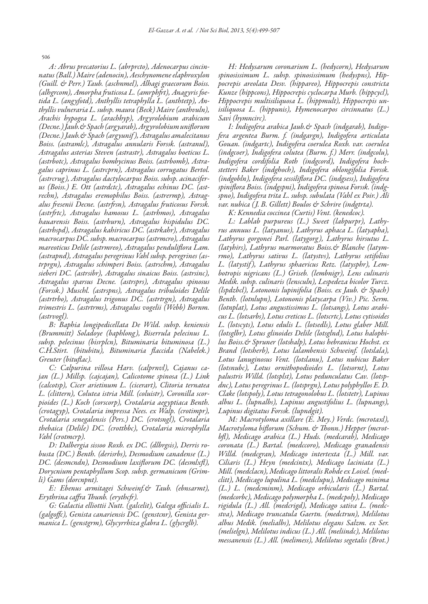506

*A: Abrus precatorius L. (abrprcto), Adenocarpus cincinnatus (Ball.) Maire (adenocin), Aeschynomene elaphroxylon (Guill. & Perr.) Taub. (aschnmel), Alhagi graecorum Boiss. (alhgrcom), Amorpha fruticosa L. (amrphfrt), Anagyris foetida L. (angyfotd), Anthyllis tetraphylla L. (anthtetp), Anthyllis vulneraria L. subsp. maura (Beck) Maire (anthvuln), Arachis hypogea L. (arachhyp), Argyrolobium arabicum (Decne.) Jaub.& Spach (argyarab), Argyrolobium uniflorum (Decne.) Jaub.& Spach (argyunif ), Astragalus amalecitanus Boiss. (astramlc), Astragalus annularis Forssk. (astranul), Astragalus asterias Steven (astrastr), Astragalus boeticus L. (astrbotc), Astragalus bombycinus Boiss. (astrbomb), Astragalus caprinus L. (astrcprn), Astragalus corrugatus Bertol. (astrcrug), Astragalus dactylocarpus Boiss. subsp. acinaciferus (Boiss.) E. Ott (astrdctc), Astragalus echinus DC. (astrechn), Astragalus eremophilus Boiss. (astrermp), Astragalus fresenii Decne. (astrfrsn), Astragalus fruticosus Forssk. (astrfrtc), Astragalus hamosus L. (astrhmos), Astragalus hauarensis Boiss. (astrhurn), Astragalus hispidulus DC. (astrhspd), Astragalus kahiricus DC. (astrkahr), Astragalus macrocarpus DC. subsp. macrocarpus (astrmcro), Astragalus mareoticus Delile (astrmreo), Astragalus penduliflora Lam. (astrapnd), Astragalus peregrinus Vahl subsp. peregrines (astrprgn), Astragalus schimperi Boiss. (astrschm), Astragalus sieberi DC. (astrsibr), Astragalus sinaicus Boiss. (astrsinc), Astragalus sparsus Decne. (astrsprs), Astragalus spinosus (Forssk.) Muschl. (astrspns), Astragalus tribuloides Delile (astrtrbo), Astragalus trigonus DC. (astrtrgn), Astragalus trimestris L. (astrtrms), Astragalus vogelii (Webb) Bornm. (astrvogl).*

*B: Baphia longipedicellata De Wild. subsp. keniensis (Brummitt) Soladoye (baphlong), Biserrula pelecinus L. subsp. pelecinus (bisrplcn), Bituminaria bituminosa (L.) C.H.Stirt. (bitubitu), Bituminaria flaccida (Nabelek.) Greuter (bituflac).*

*C: Calpurina villosa Harv. (calprnvl), Cajanus cajan (L.) Millsp. (cajcajan), Calicotome spinosa (L.) Link (calcotsp), Cicer arietinum L. (cicerart), Clitoria ternatea L. (clittern), Colutea istria Mill. (coluistr), Coronilla scorpioides (L.) Koch (corscorp), Crotalaria aegyptiaca Benth. (crotagyp), Crotalaria impressa Nees. ex Walp. (crotimpr), Crotalaria senegalensis (Pers.) DC. (crotsngl), Crotalaria thebaica (Delile) DC. (crotthbc), Crotalaria microphylla Vahl (crotmcrp).*

*D: Dalbergia sissoo Roxb. ex DC. (dlbrgsis), Derris robusta (DC.) Benth. (derisrbs), Desmodium canadense (L.) DC. (desmcndn), Desmodium laxiflorum DC. (desmlxfl), Dorycnium pentaphyllum Scop. subsp. germanicum (Grimli) Gams (dorcnpnt).*

*E: Ebenus armitagei Schweinf.& Taub. (ebnsarmt), Erythrina caffra Thunb. (erythcfr).*

*G: Galactia elliottii Nutt. (galcelit), Galega officialis L. (galgoffc), Genista canariensis DC. (genstcnr), Genista germanica L. (genstgrm), Glycyrrhiza glabra L. (glycrglb).*

*H: Hedysarum coronarium L. (hedycorn), Hedysarum spinosissimum L. subsp. spinosissimum (hedyspns), Hippocrepis areolata Desv. (hippareo), Hippocrepis constricta Kunze (hippcons), Hippocrepis cyclocarpa Murb. (hippcycl), Hippocrepis multisiliquosa L. (hippmult), Hippocrepis unisiliquosa L. (hippunis), Hymenocarpos circinnatus (L.) Savi (hymncirc).*

*I: Indigofera arabica Jaub.& Spach (indgarab), Indigofera argentea Burm. f. (indgargn), Indigofera articulata Gouan. (indgartc), Indigofera coerulea Roxb. var. coerulea (indgcoer), Indigofera colutea (Burm. f.) Merr. (indgcolu), Indigofera cordifolia Roth (indgcord), Indigofera hochstetteri Baker (indghoch), Indigofera oblongifolia Forssk. (indgobln), Indigofera sessiliflora DC. (indgsess), Indigofera spiniflora Boiss. (indgspni), Indigofera spinosa Forssk. (indgspno), Indigofera trita L. subsp. subulata (Vahl ex Poir.) Ali var. nubica (J. B. Gillett) Boulos & Schrire (indgtrta).*

*K: Kennedia coccinea (Curtis) Vent. (kenedcoc).*

*L: Lablab purpureus (L.) Sweet (labpurpr), Lathyrus annuus L. (latyanus), Lathyrus aphaca L. (latyapha), Lathyrus gorgonei Parl. (latygorg), Lathyrus hirsutus L. (latyhirs), Lathyrus marmoratus Boiss.& Blanche (latymrmo), Lathyrus sativus L. (latystvs), Lathyrus setifolius L. (latystif ), Lathyrus sphaericus Retz. (latysphr), Lembotropis nigricans (L.) Griseb. (lembnigr), Lens culinaris Medik. subsp. culinaris (lensculn), Lespedeza bicolor Turcz. (lspdzbcl), Lotononis lupinifolia (Boiss. ex Jaub. & Spach) Benth. (lotnlupn), Lotononis platycarpa (Viv.) Pic. Serm. (lotnplat), Lotus angustissimus L. (lotsangs), Lotus arabicus L. (lotsarbs), Lotus creticus L. (lotscrtc), Lotus cytisoides L. (lotscyts), Lotus edulis L. (lotsedls), Lotus glaber Mill. (lotsglbr), Lotus glinoides Delile (lotsglnd), Lotus halophilus Boiss.& Spruner (lotshalp), Lotus hebranicus Hochst. ex Brand (lotsherb), Lotus lalambensis Schweinf. (lotslala), Lotus lanuginosus Vent. (lotslanu), Lotus nubicus Baker (lotsnubc), Lotus ornithopodioides L. (lotsornt), Lotus palustris Willd. (lotsplst), Lotus pedunculatus Cav. (lotspdnc), Lotus peregrinus L. (lotsprgn), Lotus polyphyllos E. D. Clake (lotspoly), Lotus tetragonolobus L. (lotstetr), Lupinus albus L. (lupnalbs), Lupinus angustifolius L. (lupnangs), Lupinus digitatus Forssk. (lupndgit).*

*M: Macrotyloma axillare (E. Mey.) Verdc. (mcrotaxl), Macrotyloma biflorum (Schum. & Thonn.) Hepper (mcrotbfl), Medicago arabica (L.) Huds. (medcarab), Medicago coronata (L.) Bartal. (medccoro), Medicago granadensis Willd. (medcgran), Medicago intertexta (L.) Mill. var. Ciliaris (L.) Heyn (medcintx), Medicago laciniata (L.) Mill. (medclacn), Medicago littoralis Rohde ex Loisel. (medclitt), Medicago lupulina L. (medclupu), Medicago minima (L.) L. (medcminm), Medicago orbicularis (L.) Bartal. (medcorbc), Medicago polymorpha L. (medcpoly), Medicago rigidula (L.) All. (medcrigd), Medicago sativa L. (medcstva), Medicago truncatula Gaertn. (medctrun), Melilotus albus Medik. (melialbs), Melilotus elegans Salzm. ex Ser. (melielgn), Melilotus indicus (L.) All. (meliindc), Melilotus messanensis (L.) All. (melimess), Melilotus segetalis (Brot.)*